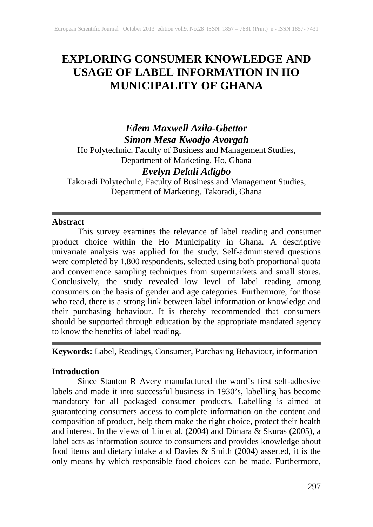# **EXPLORING CONSUMER KNOWLEDGE AND USAGE OF LABEL INFORMATION IN HO MUNICIPALITY OF GHANA**

*Edem Maxwell Azila-Gbettor Simon Mesa Kwodjo Avorgah*

Ho Polytechnic, Faculty of Business and Management Studies, Department of Marketing. Ho, Ghana *Evelyn Delali Adigbo*

Takoradi Polytechnic, Faculty of Business and Management Studies, Department of Marketing. Takoradi, Ghana

## **Abstract**

This survey examines the relevance of label reading and consumer product choice within the Ho Municipality in Ghana. A descriptive univariate analysis was applied for the study. Self-administered questions were completed by 1,800 respondents, selected using both proportional quota and convenience sampling techniques from supermarkets and small stores. Conclusively, the study revealed low level of label reading among consumers on the basis of gender and age categories. Furthermore, for those who read, there is a strong link between label information or knowledge and their purchasing behaviour. It is thereby recommended that consumers should be supported through education by the appropriate mandated agency to know the benefits of label reading.

**Keywords:** Label, Readings, Consumer, Purchasing Behaviour, information

## **Introduction**

Since Stanton R Avery manufactured the word's first self-adhesive labels and made it into successful business in 1930's, labelling has become mandatory for all packaged consumer products. Labelling is aimed at guaranteeing consumers access to complete information on the content and composition of product, help them make the right choice, protect their health and interest. In the views of Lin et al. (2004) and Dimara & Skuras (2005), a label acts as information source to consumers and provides knowledge about food items and dietary intake and Davies & Smith (2004) asserted, it is the only means by which responsible food choices can be made. Furthermore,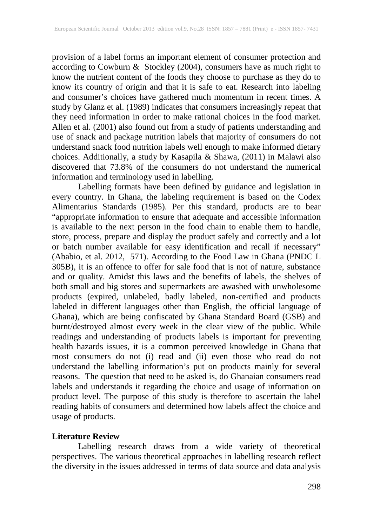provision of a label forms an important element of consumer protection and according to Cowburn & Stockley (2004), consumers have as much right to know the nutrient content of the foods they choose to purchase as they do to know its country of origin and that it is safe to eat. Research into labeling and consumer's choices have gathered much momentum in recent times. A study by Glanz et al. (1989) indicates that consumers increasingly repeat that they need information in order to make rational choices in the food market. Allen et al. (2001) also found out from a study of patients understanding and use of snack and package nutrition labels that majority of consumers do not understand snack food nutrition labels well enough to make informed dietary choices. Additionally, a study by Kasapila & Shawa, (2011) in Malawi also discovered that 73.8% of the consumers do not understand the numerical information and terminology used in labelling.

Labelling formats have been defined by guidance and legislation in every country. In Ghana, the labeling requirement is based on the Codex Alimentarius Standards (1985). Per this standard, products are to bear "appropriate information to ensure that adequate and accessible information is available to the next person in the food chain to enable them to handle, store, process, prepare and display the product safely and correctly and a lot or batch number available for easy identification and recall if necessary" (Ababio, et al. 2012, 571). According to the Food Law in Ghana (PNDC L 305B), it is an offence to offer for sale food that is not of nature, substance and or quality. Amidst this laws and the benefits of labels, the shelves of both small and big stores and supermarkets are awashed with unwholesome products (expired, unlabeled, badly labeled, non-certified and products labeled in different languages other than English, the official language of Ghana), which are being confiscated by Ghana Standard Board (GSB) and burnt/destroyed almost every week in the clear view of the public. While readings and understanding of products labels is important for preventing health hazards issues, it is a common perceived knowledge in Ghana that most consumers do not (i) read and (ii) even those who read do not understand the labelling information's put on products mainly for several reasons. The question that need to be asked is, do Ghanaian consumers read labels and understands it regarding the choice and usage of information on product level. The purpose of this study is therefore to ascertain the label reading habits of consumers and determined how labels affect the choice and usage of products.

#### **Literature Review**

Labelling research draws from a wide variety of theoretical perspectives. The various theoretical approaches in labelling research reflect the diversity in the issues addressed in terms of data source and data analysis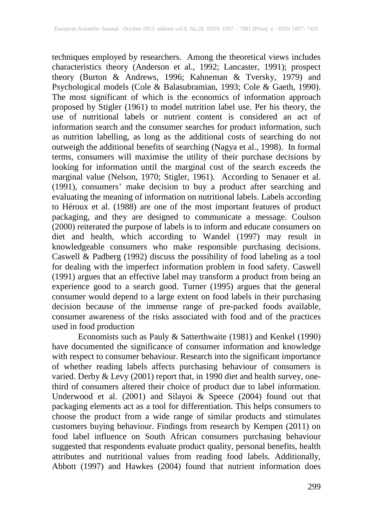techniques employed by researchers. Among the theoretical views includes characteristics theory (Anderson et al., 1992; Lancaster, 1991); prospect theory (Burton & Andrews, 1996; Kahneman & Tversky, 1979) and Psychological models (Cole & Balasubramian, 1993; Cole & Gaeth, 1990). The most significant of which is the economics of information approach proposed by Stigler (1961) to model nutrition label use. Per his theory, the use of nutritional labels or nutrient content is considered an act of information search and the consumer searches for product information, such as nutrition labelling, as long as the additional costs of searching do not outweigh the additional benefits of searching (Nagya et al., 1998). In formal terms, consumers will maximise the utility of their purchase decisions by looking for information until the marginal cost of the search exceeds the marginal value (Nelson, 1970; Stigler, 1961). According to Senauer et al. (1991), consumers' make decision to buy a product after searching and evaluating the meaning of information on nutritional labels. Labels according to Héroux et al. (1988) are one of the most important features of product packaging, and they are designed to communicate a message. Coulson (2000) reiterated the purpose of labels is to inform and educate consumers on diet and health, which according to Wandel (1997) may result in knowledgeable consumers who make responsible purchasing decisions. Caswell & Padberg (1992) discuss the possibility of food labeling as a tool for dealing with the imperfect information problem in food safety. Caswell (1991) argues that an effective label may transform a product from being an experience good to a search good. Turner (1995) argues that the general consumer would depend to a large extent on food labels in their purchasing decision because of the immense range of pre-packed foods available, consumer awareness of the risks associated with food and of the practices used in food production

Economists such as Pauly & Satterthwaite (1981) and Kenkel (1990) have documented the significance of consumer information and knowledge with respect to consumer behaviour. Research into the significant importance of whether reading labels affects purchasing behaviour of consumers is varied. Derby & Levy (2001) report that, in 1990 diet and health survey, onethird of consumers altered their choice of product due to label information. Underwood et al. (2001) and Silayoi & Speece (2004) found out that packaging elements act as a tool for differentiation. This helps consumers to choose the product from a wide range of similar products and stimulates customers buying behaviour. Findings from research by Kempen (2011) on food label influence on South African consumers purchasing behaviour suggested that respondents evaluate product quality, personal benefits, health attributes and nutritional values from reading food labels. Additionally, Abbott (1997) and Hawkes (2004) found that nutrient information does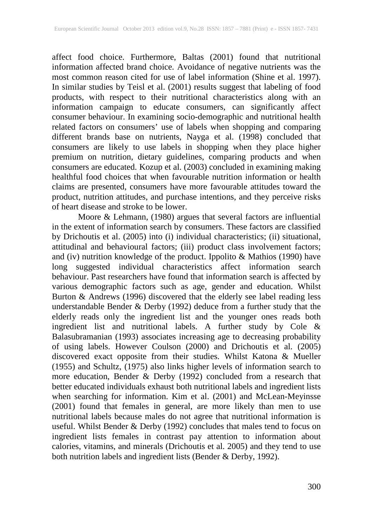affect food choice. Furthermore, Baltas (2001) found that nutritional information affected brand choice. Avoidance of negative nutrients was the most common reason cited for use of label information (Shine et al. 1997). In similar studies by Teisl et al. (2001) results suggest that labeling of food products, with respect to their nutritional characteristics along with an information campaign to educate consumers, can significantly affect consumer behaviour. In examining socio-demographic and nutritional health related factors on consumers' use of labels when shopping and comparing different brands base on nutrients, Nayga et al. (1998) concluded that consumers are likely to use labels in shopping when they place higher premium on nutrition, dietary guidelines, comparing products and when consumers are educated. Kozup et al. (2003) concluded in examining making healthful food choices that when favourable nutrition information or health claims are presented, consumers have more favourable attitudes toward the product, nutrition attitudes, and purchase intentions, and they perceive risks of heart disease and stroke to be lower.

Moore & Lehmann, (1980) argues that several factors are influential in the extent of information search by consumers. These factors are classified by Drichoutis et al. (2005) into (i) individual characteristics; (ii) situational, attitudinal and behavioural factors; (iii) product class involvement factors; and (iv) nutrition knowledge of the product. Ippolito & Mathios (1990) have long suggested individual characteristics affect information search behaviour. Past researchers have found that information search is affected by various demographic factors such as age, gender and education. Whilst Burton & Andrews (1996) discovered that the elderly see label reading less understandable Bender & Derby (1992) deduce from a further study that the elderly reads only the ingredient list and the younger ones reads both ingredient list and nutritional labels. A further study by Cole & Balasubramanian (1993) associates increasing age to decreasing probability of using labels. However Coulson (2000) and Drichoutis et al. (2005) discovered exact opposite from their studies. Whilst Katona & Mueller (1955) and Schultz, (1975) also links higher levels of information search to more education, Bender & Derby (1992) concluded from a research that better educated individuals exhaust both nutritional labels and ingredient lists when searching for information. Kim et al. (2001) and McLean-Meyinsse (2001) found that females in general, are more likely than men to use nutritional labels because males do not agree that nutritional information is useful. Whilst Bender & Derby (1992) concludes that males tend to focus on ingredient lists females in contrast pay attention to information about calories, vitamins, and minerals (Drichoutis et al. 2005) and they tend to use both nutrition labels and ingredient lists (Bender & Derby, 1992).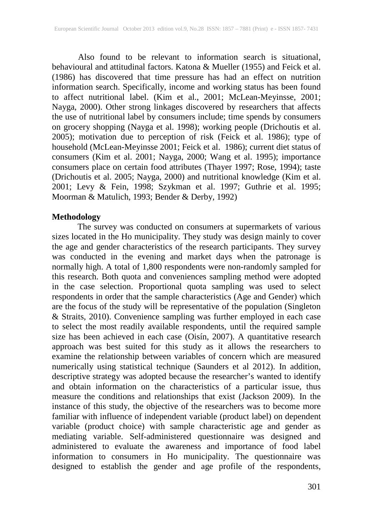Also found to be relevant to information search is situational, behavioural and attitudinal factors. Katona & Mueller (1955) and Feick et al. (1986) has discovered that time pressure has had an effect on nutrition information search. Specifically, income and working status has been found to affect nutritional label. (Kim et al., 2001; McLean-Meyinsse, 2001; Nayga, 2000). Other strong linkages discovered by researchers that affects the use of nutritional label by consumers include; time spends by consumers on grocery shopping (Nayga et al. 1998); working people (Drichoutis et al. 2005); motivation due to perception of risk (Feick et al. 1986); type of household (McLean-Meyinsse 2001; Feick et al. 1986); current diet status of consumers (Kim et al. 2001; Nayga, 2000; Wang et al. 1995); importance consumers place on certain food attributes (Thayer 1997; Rose, 1994); taste (Drichoutis et al. 2005; Nayga, 2000) and nutritional knowledge (Kim et al. 2001; Levy & Fein, 1998; Szykman et al. 1997; Guthrie et al. 1995; Moorman & Matulich, 1993; Bender & Derby, 1992)

#### **Methodology**

The survey was conducted on consumers at supermarkets of various sizes located in the Ho municipality. They study was design mainly to cover the age and gender characteristics of the research participants. They survey was conducted in the evening and market days when the patronage is normally high. A total of 1,800 respondents were non-randomly sampled for this research. Both quota and conveniences sampling method were adopted in the case selection. Proportional quota sampling was used to select respondents in order that the sample characteristics (Age and Gender) which are the focus of the study will be representative of the population (Singleton & Straits, 2010). Convenience sampling was further employed in each case to select the most readily available respondents, until the required sample size has been achieved in each case (Oisín, 2007). A quantitative research approach was best suited for this study as it allows the researchers to examine the relationship between variables of concern which are measured numerically using statistical technique (Saunders et al 2012). In addition, descriptive strategy was adopted because the researcher's wanted to identify and obtain information on the characteristics of a particular issue, thus measure the conditions and relationships that exist (Jackson 2009). In the instance of this study, the objective of the researchers was to become more familiar with influence of independent variable (product label) on dependent variable (product choice) with sample characteristic age and gender as mediating variable. Self-administered questionnaire was designed and administered to evaluate the awareness and importance of food label information to consumers in Ho municipality. The questionnaire was designed to establish the gender and age profile of the respondents,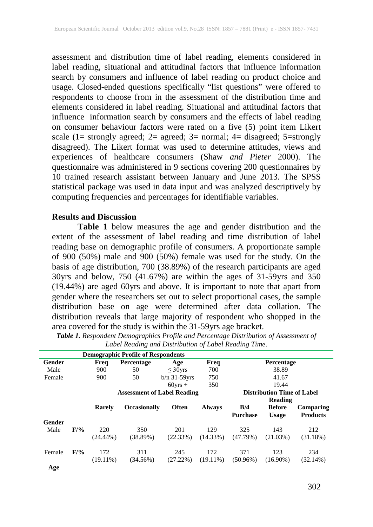assessment and distribution time of label reading, elements considered in label reading, situational and attitudinal factors that influence information search by consumers and influence of label reading on product choice and usage. Closed-ended questions specifically "list questions" were offered to respondents to choose from in the assessment of the distribution time and elements considered in label reading. Situational and attitudinal factors that influence information search by consumers and the effects of label reading on consumer behaviour factors were rated on a five (5) point item Likert scale (1= strongly agreed; 2= agreed; 3= normal; 4= disagreed; 5=strongly disagreed). The Likert format was used to determine attitudes, views and experiences of healthcare consumers (Shaw *and Pieter* 2000). The questionnaire was administered in 9 sections covering 200 questionnaires by 10 trained research assistant between January and June 2013. The SPSS statistical package was used in data input and was analyzed descriptively by computing frequencies and percentages for identifiable variables.

#### **Results and Discussion**

**Table 1** below measures the age and gender distribution and the extent of the assessment of label reading and time distribution of label reading base on demographic profile of consumers. A proportionate sample of 900 (50%) male and 900 (50%) female was used for the study. On the basis of age distribution, 700 (38.89%) of the research participants are aged 30yrs and below, 750 (41.67%) are within the ages of 31-59yrs and 350 (19.44%) are aged 60yrs and above. It is important to note that apart from gender where the researchers set out to select proportional cases, the sample distribution base on age were determined after data collation. The distribution reveals that large majority of respondent who shopped in the area covered for the study is within the 31-59yrs age bracket.

|        |        |                    | <b>Demographic Profile of Respondents</b> |                    |                                   |                        |                               |                              |  |
|--------|--------|--------------------|-------------------------------------------|--------------------|-----------------------------------|------------------------|-------------------------------|------------------------------|--|
| Gender |        | Freq               | <b>Percentage</b>                         | Age                | Freq                              |                        | Percentage                    |                              |  |
| Male   |        | 900                | 50                                        | $\leq 30$ vrs      | 700                               |                        | 38.89                         |                              |  |
| Female |        | 900                | 50                                        | $b/n$ 31-59 $vrs$  | 750                               |                        | 41.67                         |                              |  |
|        |        |                    |                                           | $60\text{vrs}$ +   | 350                               |                        | 19.44                         |                              |  |
|        |        |                    | <b>Assessment of Label Reading</b>        |                    | <b>Distribution Time of Label</b> |                        |                               |                              |  |
|        |        |                    |                                           |                    |                                   | Reading                |                               |                              |  |
|        |        | Rarely             | <b>Occasionally</b>                       | <b>Often</b>       | <b>Always</b>                     | B/4<br><b>Purchase</b> | <b>Before</b><br><b>Usage</b> | Comparing<br><b>Products</b> |  |
| Gender |        |                    |                                           |                    |                                   |                        |                               |                              |  |
| Male   | F/9/6  | 220<br>$(24.44\%)$ | 350<br>(38.89%)                           | 201<br>(22.33%)    | 129<br>$(14.33\%)$                | 325<br>(47.79%)        | 143<br>(21.03%)               | 212<br>(31.18%)              |  |
| Female | $F/$ % | 172<br>$(19.11\%)$ | 311<br>(34.56%)                           | 245<br>$(27.22\%)$ | 172<br>$(19.11\%)$                | 371<br>$(50.96\%)$     | 123<br>$(16.90\%)$            | 234<br>(32.14%)              |  |
| Age    |        |                    |                                           |                    |                                   |                        |                               |                              |  |

*Table 1. Respondent Demographics Profile and Percentage Distribution of Assessment of Label Reading and Distribution of Label Reading Time*.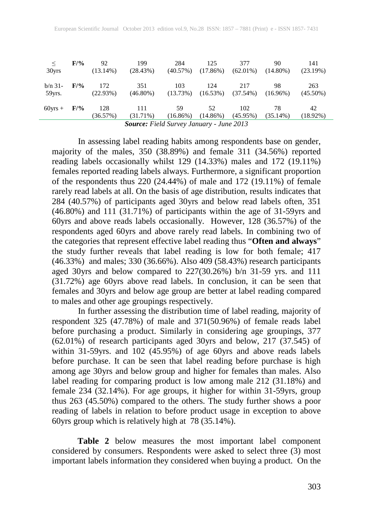| $\leq$                                          | $F/$ % | 92              | 199                | 284               | 125               | 377                | 90                | 141               |  |
|-------------------------------------------------|--------|-----------------|--------------------|-------------------|-------------------|--------------------|-------------------|-------------------|--|
| 30yrs                                           |        | $(13.14\%)$     | (28.43%)           | (40.57%)          | (17.86%)          | $(62.01\%)$        | $(14.80\%)$       | $(23.19\%)$       |  |
| $b/n$ 31-                                       | F/9/6  | 172             | 351                | 103               | 124               | 217                | 98                | 263               |  |
| 59yrs.                                          |        | (22.93%)        | $(46.80\%)$        | (13.73%)          | (16.53%)          | $(37.54\%)$        | $(16.96\%)$       | $(45.50\%)$       |  |
| $60\text{vrs} +$                                | $F/$ % | 128<br>(36.57%) | 111<br>$(31.71\%)$ | 59<br>$(16.86\%)$ | 52<br>$(14.86\%)$ | 102<br>$(45.95\%)$ | 78<br>$(35.14\%)$ | 42<br>$(18.92\%)$ |  |
| <b>Source:</b> Field Survey January - June 2013 |        |                 |                    |                   |                   |                    |                   |                   |  |

In assessing label reading habits among respondents base on gender, majority of the males, 350 (38.89%) and female 311 (34.56%) reported reading labels occasionally whilst 129 (14.33%) males and 172 (19.11%) females reported reading labels always. Furthermore, a significant proportion of the respondents thus 220 (24.44%) of male and 172 (19.11%) of female rarely read labels at all. On the basis of age distribution, results indicates that 284 (40.57%) of participants aged 30yrs and below read labels often, 351 (46.80%) and 111 (31.71%) of participants within the age of 31-59yrs and 60yrs and above reads labels occasionally. However, 128 (36.57%) of the respondents aged 60yrs and above rarely read labels. In combining two of the categories that represent effective label reading thus "**Often and always**" the study further reveals that label reading is low for both female; 417 (46.33%) and males; 330 (36.66%). Also 409 (58.43%) research participants aged 30yrs and below compared to 227(30.26%) b/n 31-59 yrs. and 111 (31.72%) age 60yrs above read labels. In conclusion, it can be seen that females and 30yrs and below age group are better at label reading compared to males and other age groupings respectively.

In further assessing the distribution time of label reading, majority of respondent 325 (47.78%) of male and 371(50.96%) of female reads label before purchasing a product. Similarly in considering age groupings, 377 (62.01%) of research participants aged 30yrs and below, 217 (37.545) of within 31-59yrs. and 102 (45.95%) of age 60yrs and above reads labels before purchase. It can be seen that label reading before purchase is high among age 30yrs and below group and higher for females than males. Also label reading for comparing product is low among male 212 (31.18%) and female 234 (32.14%). For age groups, it higher for within 31-59yrs, group thus 263 (45.50%) compared to the others. The study further shows a poor reading of labels in relation to before product usage in exception to above 60yrs group which is relatively high at 78 (35.14%).

**Table 2** below measures the most important label component considered by consumers. Respondents were asked to select three (3) most important labels information they considered when buying a product. On the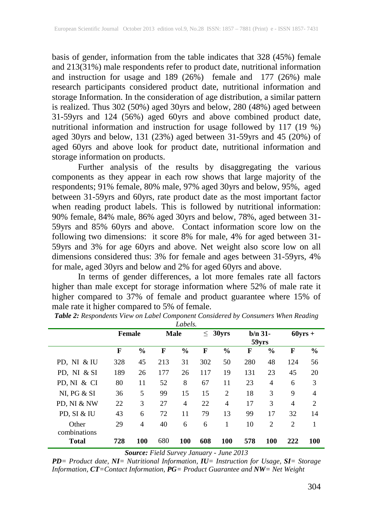basis of gender, information from the table indicates that 328 (45%) female and 213(31%) male respondents refer to product date, nutritional information and instruction for usage and 189 (26%) female and 177 (26%) male research participants considered product date, nutritional information and storage Information. In the consideration of age distribution, a similar pattern is realized. Thus 302 (50%) aged 30yrs and below, 280 (48%) aged between 31-59yrs and 124 (56%) aged 60yrs and above combined product date, nutritional information and instruction for usage followed by 117 (19 %) aged 30yrs and below, 131 (23%) aged between 31-59yrs and 45 (20%) of aged 60yrs and above look for product date, nutritional information and storage information on products.

Further analysis of the results by disaggregating the various components as they appear in each row shows that large majority of the respondents; 91% female, 80% male, 97% aged 30yrs and below, 95%, aged between 31-59yrs and 60yrs, rate product date as the most important factor when reading product labels. This is followed by nutritional information: 90% female, 84% male, 86% aged 30yrs and below, 78%, aged between 31- 59yrs and 85% 60yrs and above. Contact information score low on the following two dimensions: it score 8% for male, 4% for aged between 31- 59yrs and 3% for age 60yrs and above. Net weight also score low on all dimensions considered thus: 3% for female and ages between 31-59yrs, 4% for male, aged 30yrs and below and 2% for aged 60yrs and above.

In terms of gender differences, a lot more females rate all factors higher than male except for storage information where 52% of male rate it higher compared to 37% of female and product guarantee where 15% of male rate it higher compared to 5% of female.

| -------                      |               |               |             |                |                 |                |                    |                |                |                |
|------------------------------|---------------|---------------|-------------|----------------|-----------------|----------------|--------------------|----------------|----------------|----------------|
|                              | <b>Female</b> |               | <b>Male</b> |                | 30yrs<br>$\leq$ |                | $b/n$ 31-<br>59yrs |                | $60$ yrs +     |                |
|                              | $\mathbf F$   | $\frac{6}{9}$ | F           | $\frac{0}{0}$  | F               | $\frac{6}{9}$  | F                  | $\frac{0}{0}$  | F              | $\frac{0}{0}$  |
| PD, NI & IU                  | 328           | 45            | 213         | 31             | 302             | 50             | 280                | 48             | 124            | 56             |
| PD, NI & SI                  | 189           | 26            | 177         | 26             | 117             | 19             | 131                | 23             | 45             | 20             |
| PD, NI & CI                  | 80            | 11            | 52          | 8              | 67              | 11             | 23                 | 4              | 6              | 3              |
| NI, PG & SI                  | 36            | 5             | 99          | 15             | 15              | $\overline{2}$ | 18                 | 3              | 9              | $\overline{4}$ |
| PD, NI & NW                  | 22            | 3             | 27          | $\overline{4}$ | 22              | $\overline{4}$ | 17                 | 3              | $\overline{4}$ | $\overline{2}$ |
| PD, SI & IU                  | 43            | 6             | 72          | 11             | 79              | 13             | 99                 | 17             | 32             | 14             |
| Other                        | 29            | 4             | 40          | 6              | 6               | 1              | 10                 | $\overline{2}$ | $\overline{2}$ | 1              |
| combinations<br><b>Total</b> | 728           | 100           | 680         | 100            | 608             | 100            | 578                | 100            | 222            | 100            |

*Table 2: Respondents View on Label Component Considered by Consumers When Reading Labels.*

*Source: Field Survey January - June 2013*

*PD= Product date, NI= Nutritional Information, IU= Instruction for Usage, SI= Storage Information, CT=Contact Information, PG= Product Guarantee and NW= Net Weight*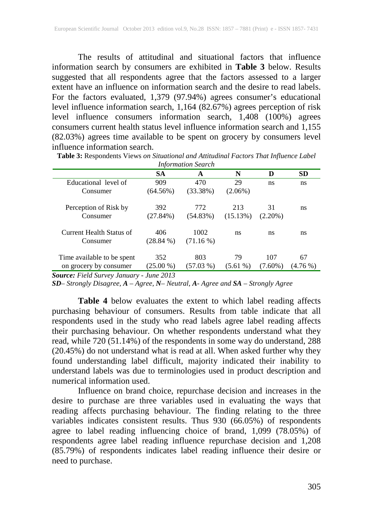The results of attitudinal and situational factors that influence information search by consumers are exhibited in **Table 3** below. Results suggested that all respondents agree that the factors assessed to a larger extent have an influence on information search and the desire to read labels. For the factors evaluated, 1,379 (97.94%) agrees consumer's educational level influence information search, 1,164 (82.67%) agrees perception of risk level influence consumers information search, 1,408 (100%) agrees consumers current health status level influence information search and 1,155 (82.03%) agrees time available to be spent on grocery by consumers level influence information search.

| <b>Information Search</b>             |             |             |            |            |          |  |  |  |  |
|---------------------------------------|-------------|-------------|------------|------------|----------|--|--|--|--|
| <b>SA</b><br>N<br><b>SD</b><br>D<br>A |             |             |            |            |          |  |  |  |  |
| Educational level of                  | 909         | 470         | 29         | ns.        | ns       |  |  |  |  |
| Consumer                              | $(64.56\%)$ | $(33.38\%)$ | $(2.06\%)$ |            |          |  |  |  |  |
| Perception of Risk by                 | 392         | 772         | 213        | 31         | ns       |  |  |  |  |
| Consumer                              | $(27.84\%)$ | $(54.83\%)$ | (15.13%)   | $(2.20\%)$ |          |  |  |  |  |
| Current Health Status of              | 406         | 1002        | ns         | ns         | ns       |  |  |  |  |
| Consumer                              | $(28.84\%)$ | $(71.16\%)$ |            |            |          |  |  |  |  |
| Time available to be spent            | 352         | 803         | 79         | 107        | 67       |  |  |  |  |
| on grocery by consumer                | $(25.00\%)$ | $(57.03\%)$ | $(5.61\%)$ | $(7.60\%)$ | (4.76 %) |  |  |  |  |

**Table 3:** Respondents Views *on Situational and Attitudinal Factors That Influence Label* 

*Source: Field Survey January - June 2013*

*SD– Strongly Disagree, A – Agree, N– Neutral, A- Agree and SA – Strongly Agree*

**Table 4** below evaluates the extent to which label reading affects purchasing behaviour of consumers. Results from table indicate that all respondents used in the study who read labels agree label reading affects their purchasing behaviour. On whether respondents understand what they read, while 720 (51.14%) of the respondents in some way do understand, 288 (20.45%) do not understand what is read at all. When asked further why they found understanding label difficult, majority indicated their inability to understand labels was due to terminologies used in product description and numerical information used.

Influence on brand choice, repurchase decision and increases in the desire to purchase are three variables used in evaluating the ways that reading affects purchasing behaviour. The finding relating to the three variables indicates consistent results. Thus 930 (66.05%) of respondents agree to label reading influencing choice of brand, 1,099 (78.05%) of respondents agree label reading influence repurchase decision and 1,208 (85.79%) of respondents indicates label reading influence their desire or need to purchase.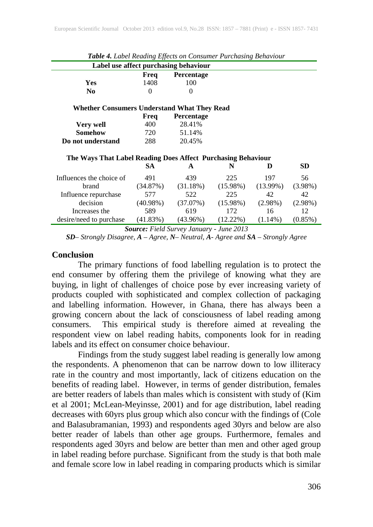| $\circ$<br>Label use affect purchasing behaviour             |             |                   |             |             |            |  |  |  |  |  |
|--------------------------------------------------------------|-------------|-------------------|-------------|-------------|------------|--|--|--|--|--|
| Percentage<br>Freq                                           |             |                   |             |             |            |  |  |  |  |  |
| <b>Yes</b>                                                   | 1408        | 100               |             |             |            |  |  |  |  |  |
| N <sub>0</sub>                                               | $\Omega$    | $\Omega$          |             |             |            |  |  |  |  |  |
| Whether Consumers Understand What They Read                  |             |                   |             |             |            |  |  |  |  |  |
|                                                              | Freq        | <b>Percentage</b> |             |             |            |  |  |  |  |  |
| Very well                                                    | 400         | 28.41%            |             |             |            |  |  |  |  |  |
| Somehow                                                      | 720         | 51.14%            |             |             |            |  |  |  |  |  |
| Do not understand                                            | 288         | 20.45%            |             |             |            |  |  |  |  |  |
| The Ways That Label Reading Does Affect Purchasing Behaviour |             |                   |             |             |            |  |  |  |  |  |
|                                                              | SA.         | A                 | N           | D           | <b>SD</b>  |  |  |  |  |  |
| Influences the choice of                                     | 491         | 439               | 225         | 197         | 56         |  |  |  |  |  |
| brand                                                        | (34.87%)    | $(31.18\%)$       | $(15.98\%)$ | $(13.99\%)$ | $(3.98\%)$ |  |  |  |  |  |
| Influence repurchase                                         | 577         | 522               | 225         | 42          | 42         |  |  |  |  |  |
| decision                                                     | $(40.98\%)$ | (37.07%)          | $(15.98\%)$ | $(2.98\%)$  | $(2.98\%)$ |  |  |  |  |  |
| Increases the                                                | 589         | 619               | 172         | 16          | 12         |  |  |  |  |  |
| desire/need to purchase                                      | $(41.83\%)$ | $(43.96\%)$       | $(12.22\%)$ | $(1.14\%)$  | $(0.85\%)$ |  |  |  |  |  |

*Table 4. Label Reading Effects on Consumer Purchasing Behaviour*

*Source: Field Survey January - June 2013*

*SD– Strongly Disagree, A – Agree, N– Neutral, A- Agree and SA – Strongly Agree*

#### **Conclusion**

The primary functions of food labelling regulation is to protect the end consumer by offering them the privilege of knowing what they are buying, in light of challenges of choice pose by ever increasing variety of products coupled with sophisticated and complex collection of packaging and labelling information. However, in Ghana, there has always been a growing concern about the lack of consciousness of label reading among consumers. This empirical study is therefore aimed at revealing the respondent view on label reading habits, components look for in reading labels and its effect on consumer choice behaviour.

Findings from the study suggest label reading is generally low among the respondents. A phenomenon that can be narrow down to low illiteracy rate in the country and most importantly, lack of citizens education on the benefits of reading label. However, in terms of gender distribution, females are better readers of labels than males which is consistent with study of (Kim et al 2001; McLean-Meyinsse, 2001) and for age distribution, label reading decreases with 60yrs plus group which also concur with the findings of (Cole and Balasubramanian, 1993) and respondents aged 30yrs and below are also better reader of labels than other age groups. Furthermore, females and respondents aged 30yrs and below are better than men and other aged group in label reading before purchase. Significant from the study is that both male and female score low in label reading in comparing products which is similar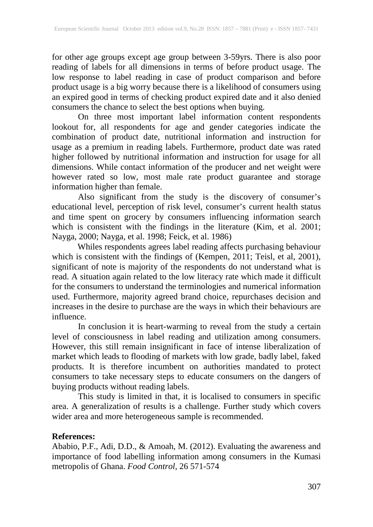for other age groups except age group between 3-59yrs. There is also poor reading of labels for all dimensions in terms of before product usage. The low response to label reading in case of product comparison and before product usage is a big worry because there is a likelihood of consumers using an expired good in terms of checking product expired date and it also denied consumers the chance to select the best options when buying.

On three most important label information content respondents lookout for, all respondents for age and gender categories indicate the combination of product date, nutritional information and instruction for usage as a premium in reading labels. Furthermore, product date was rated higher followed by nutritional information and instruction for usage for all dimensions. While contact information of the producer and net weight were however rated so low, most male rate product guarantee and storage information higher than female.

Also significant from the study is the discovery of consumer's educational level, perception of risk level, consumer's current health status and time spent on grocery by consumers influencing information search which is consistent with the findings in the literature (Kim, et al. 2001; Nayga, 2000; Nayga, et al. 1998; Feick, et al. 1986)

Whiles respondents agrees label reading affects purchasing behaviour which is consistent with the findings of (Kempen, 2011; Teisl, et al, 2001), significant of note is majority of the respondents do not understand what is read. A situation again related to the low literacy rate which made it difficult for the consumers to understand the terminologies and numerical information used. Furthermore, majority agreed brand choice, repurchases decision and increases in the desire to purchase are the ways in which their behaviours are influence.

In conclusion it is heart-warming to reveal from the study a certain level of consciousness in label reading and utilization among consumers. However, this still remain insignificant in face of intense liberalization of market which leads to flooding of markets with low grade, badly label, faked products. It is therefore incumbent on authorities mandated to protect consumers to take necessary steps to educate consumers on the dangers of buying products without reading labels.

This study is limited in that, it is localised to consumers in specific area. A generalization of results is a challenge. Further study which covers wider area and more heterogeneous sample is recommended.

# **References:**

Ababio, P.F., Adi, D.D., & Amoah, M. (2012). Evaluating the awareness and importance of food labelling information among consumers in the Kumasi metropolis of Ghana. *Food Control*, 26 571-574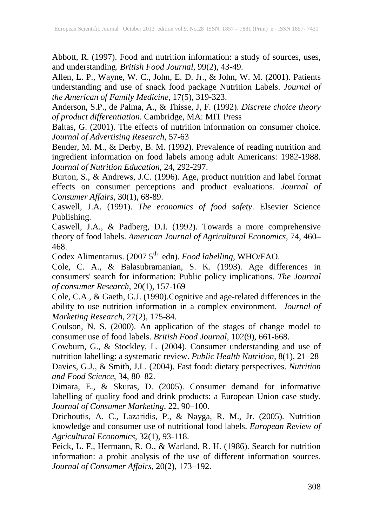Abbott, R. (1997). Food and nutrition information: a study of sources, uses, and understanding. *British Food Journal*, 99(2), 43-49.

Allen, L. P., Wayne, W. C., John, E. D. Jr., & John, W. M. (2001). Patients understanding and use of snack food package Nutrition Labels. *Journal of the American of Family Medicine*, 17(5), 319-323.

Anderson, S.P., de Palma, A., & Thisse, J, F. (1992). *Discrete choice theory of product differentiation*. Cambridge, MA: MIT Press

Baltas, G. (2001). The effects of nutrition information on consumer choice. *Journal of Advertising Research*, 57-63

Bender, M. M., & Derby, B. M. (1992). Prevalence of reading nutrition and ingredient information on food labels among adult Americans: 1982-1988. *Journal of Nutrition Education*, 24, 292-297.

Burton, S., & Andrews, J.C. (1996). Age, product nutrition and label format effects on consumer perceptions and product evaluations. *Journal of Consumer Affairs*, 30(1), 68-89.

Caswell, J.A. (1991). *The economics of food safety*. Elsevier Science Publishing.

Caswell, J.A., & Padberg, D.I. (1992). Towards a more comprehensive theory of food labels. *American Journal of Agricultural Economics*, 74, 460– 468.

Codex Alimentarius. (2007 5<sup>th</sup> edn). *Food labelling*, WHO/FAO.

Cole, C. A., & Balasubramanian, S. K. (1993). Age differences in consumers' search for information: Public policy implications. *The Journal of consumer Research*, 20(1), 157-169

Cole, C.A., & Gaeth, G.J. (1990).Cognitive and age-related differences in the ability to use nutrition information in a complex environment. *Journal of Marketing Research*, 27(2), 175-84.

Coulson, N. S. (2000). An application of the stages of change model to consumer use of food labels. *British Food Journal*, 102(9), 661-668.

Cowburn, G., & Stockley, L. (2004). Consumer understanding and use of nutrition labelling: a systematic review. *Public Health Nutrition*, 8(1), 21–28 Davies, G.J., & Smith, J.L. (2004). Fast food: dietary perspectives. *Nutrition and Food Science*, 34, 80–82.

Dimara, E., & Skuras, D. (2005). Consumer demand for informative labelling of quality food and drink products: a European Union case study. *Journal of Consumer Marketing*, 22, 90–100.

Drichoutis, A. C., Lazaridis, P., & Nayga, R. M., Jr. (2005). Nutrition knowledge and consumer use of nutritional food labels. *European Review of Agricultural Economics*, 32(1), 93-118.

Feick, L. F., Hermann, R. O., & Warland, R. H. (1986). Search for nutrition information: a probit analysis of the use of different information sources. *Journal of Consumer Affairs,* 20(2), 173–192.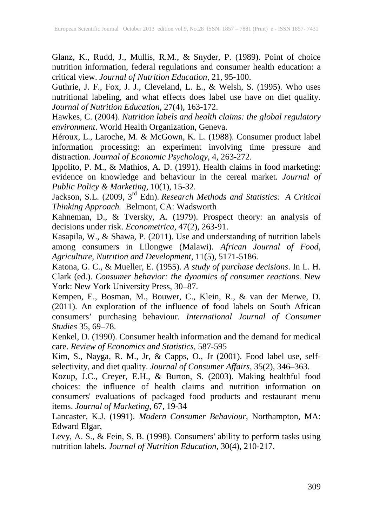Glanz, K., Rudd, J., Mullis, R.M., & Snyder, P. (1989). Point of choice nutrition information, federal regulations and consumer health education: a critical view. *Journal of Nutrition Education*, 21, 95-100.

Guthrie, J. F., Fox, J. J., Cleveland, L. E., & Welsh, S. (1995). Who uses nutritional labeling, and what effects does label use have on diet quality. *Journal of Nutrition Education*, 27(4), 163-172.

Hawkes, C. (2004). *Nutrition labels and health claims: the global regulatory environment*. World Health Organization, Geneva.

Héroux, L., Laroche, M. & McGown, K. L. (1988). Consumer product label information processing: an experiment involving time pressure and distraction. *Journal of Economic Psychology*, 4, 263-272.

Ippolito, P. M., & Mathios, A. D. (1991). Health claims in food marketing: evidence on knowledge and behaviour in the cereal market. *Journal of Public Policy & Marketing*, 10(1), 15-32.

Jackson, S.L. (2009, 3rd Edn). *Research Methods and Statistics: A Critical Thinking Approach.* Belmont, CA: Wadsworth

Kahneman, D., & Tversky, A. (1979). Prospect theory: an analysis of decisions under risk. *Econometrica*, 47(2), 263-91.

Kasapila, W., & Shawa, P. (2011). Use and understanding of nutrition labels among consumers in Lilongwe (Malawi). *African Journal of Food, Agriculture, Nutrition and Development*, 11(5), 5171-5186.

Katona, G. C., & Mueller, E. (1955). *A study of purchase decisions*. In L. H. Clark (ed.). *Consumer behavior: the dynamics of consumer reactions*. New York: New York University Press, 30–87.

Kempen, E., Bosman, M., Bouwer, C., Klein, R., & van der Merwe, D. (2011). An exploration of the influence of food labels on South African consumers' purchasing behaviour. *International Journal of Consumer Studies* 35, 69–78.

Kenkel, D. (1990). Consumer health information and the demand for medical care. *Review of Economics and Statistics*, 587-595

Kim, S., Nayga, R. M., Jr, & Capps, O., Jr (2001). Food label use, selfselectivity, and diet quality. *Journal of Consumer Affairs,* 35(2), 346–363.

Kozup, J.C., Creyer, E.H., & Burton, S. (2003). Making healthful food choices: the influence of health claims and nutrition information on consumers' evaluations of packaged food products and restaurant menu items. *Journal of Marketing*, 67, 19-34

Lancaster, K.J. (1991). *Modern Consumer Behaviour*, Northampton, MA: Edward Elgar,

Levy, A. S., & Fein, S. B. (1998). Consumers' ability to perform tasks using nutrition labels. *Journal of Nutrition Education*, 30(4), 210-217.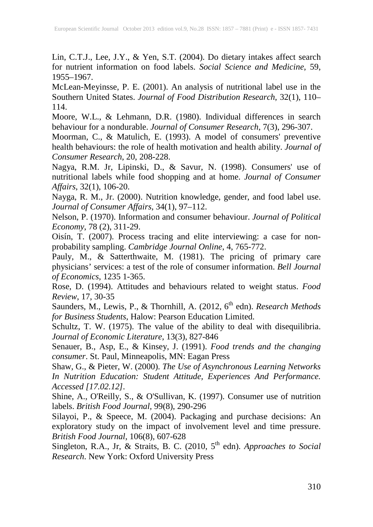Lin, C.T.J., Lee, J.Y., & Yen, S.T. (2004). Do dietary intakes affect search for nutrient information on food labels. *Social Science and Medicine*, 59, 1955–1967.

McLean-Meyinsse, P. E. (2001). An analysis of nutritional label use in the Southern United States. *Journal of Food Distribution Research*, 32(1), 110– 114.

Moore, W.L., & Lehmann, D.R. (1980). Individual differences in search behaviour for a nondurable. *Journal of Consumer Research*, 7(3), 296-307.

Moorman, C., & Matulich, E. (1993). A model of consumers' preventive health behaviours: the role of health motivation and health ability. *Journal of Consumer Research*, 20, 208-228.

Nagya, R.M. Jr, Lipinski, D., & Savur, N. (1998). Consumers' use of nutritional labels while food shopping and at home. *Journal of Consumer Affairs*, 32(1), 106-20.

Nayga, R. M., Jr. (2000). Nutrition knowledge, gender, and food label use. *Journal of Consumer Affairs*, 34(1), 97–112.

Nelson, P. (1970). Information and consumer behaviour. *Journal of Political Economy*, 78 (2), 311-29.

Oisín, T. (2007). Process tracing and elite interviewing: a case for nonprobability sampling. *Cambridge Journal Online*, 4, 765-772.

Pauly, M., & Satterthwaite, M. (1981). The pricing of primary care physicians' services: a test of the role of consumer information. *Bell Journal of Economics*, 1235 1-365.

Rose, D. (1994). Attitudes and behaviours related to weight status. *Food Review*, 17, 30-35

Saunders, M., Lewis, P., & Thornhill, A. (2012, 6<sup>th</sup> edn). *Research Methods for Business Students*, Halow: Pearson Education Limited.

Schultz, T. W. (1975). The value of the ability to deal with disequilibria. *Journal of Economic Literature*, 13(3), 827-846

Senauer, B., Asp, E., & Kinsey, J. (1991). *Food trends and the changing consumer*. St. Paul, Minneapolis, MN: Eagan Press

Shaw, G., & Pieter, W. (2000). *The Use of Asynchronous Learning Networks In Nutrition Education: Student Attitude, Experiences And Performance. Accessed [17.02.12].*

Shine, A., O'Reilly, S., & O'Sullivan, K. (1997). Consumer use of nutrition labels. *British Food Journal,* 99(8), 290-296

Silayoi, P., & Speece, M. (2004). Packaging and purchase decisions: An exploratory study on the impact of involvement level and time pressure. *British Food Journal*, 106(8), 607-628

Singleton, R.A., Jr, & Straits, B. C. (2010, 5<sup>th</sup> edn). *Approaches to Social Research*. New York: Oxford University Press